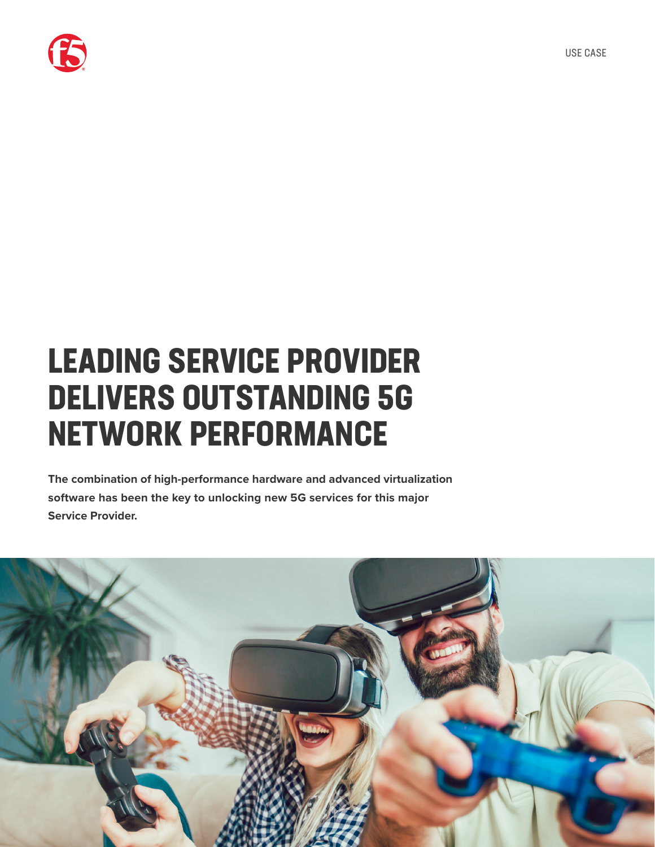

# **LEADING SERVICE PROVIDER DELIVERS OUTSTANDING 5G NETWORK PERFORMANCE**

**The combination of high-performance hardware and advanced virtualization software has been the key to unlocking new 5G services for this major Service Provider.**

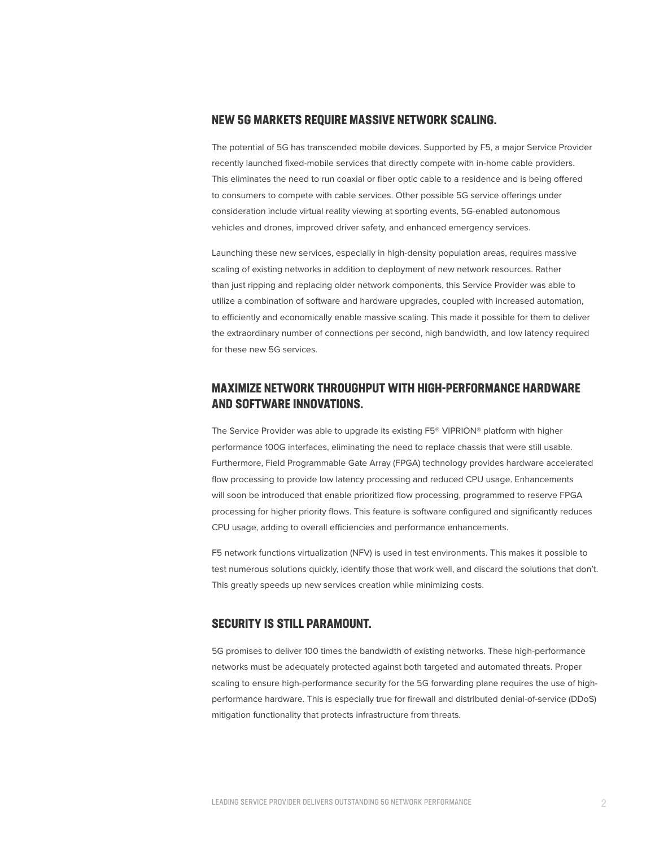### **NEW 5G MARKETS REQUIRE MASSIVE NETWORK SCALING.**

The potential of 5G has transcended mobile devices. Supported by F5, a major Service Provider recently launched fixed-mobile services that directly compete with in-home cable providers. This eliminates the need to run coaxial or fiber optic cable to a residence and is being offered to consumers to compete with cable services. Other possible 5G service offerings under consideration include virtual reality viewing at sporting events, 5G-enabled autonomous vehicles and drones, improved driver safety, and enhanced emergency services.

Launching these new services, especially in high-density population areas, requires massive scaling of existing networks in addition to deployment of new network resources. Rather than just ripping and replacing older network components, this Service Provider was able to utilize a combination of software and hardware upgrades, coupled with increased automation, to efficiently and economically enable massive scaling. This made it possible for them to deliver the extraordinary number of connections per second, high bandwidth, and low latency required for these new 5G services.

# **MAXIMIZE NETWORK THROUGHPUT WITH HIGH-PERFORMANCE HARDWARE AND SOFTWARE INNOVATIONS.**

The Service Provider was able to upgrade its existing F5® VIPRION® platform with higher performance 100G interfaces, eliminating the need to replace chassis that were still usable. Furthermore, Field Programmable Gate Array (FPGA) technology provides hardware accelerated flow processing to provide low latency processing and reduced CPU usage. Enhancements will soon be introduced that enable prioritized flow processing, programmed to reserve FPGA processing for higher priority flows. This feature is software configured and significantly reduces CPU usage, adding to overall efficiencies and performance enhancements.

F5 network functions virtualization (NFV) is used in test environments. This makes it possible to test numerous solutions quickly, identify those that work well, and discard the solutions that don't. This greatly speeds up new services creation while minimizing costs.

## **SECURITY IS STILL PARAMOUNT.**

5G promises to deliver 100 times the bandwidth of existing networks. These high-performance networks must be adequately protected against both targeted and automated threats. Proper scaling to ensure high-performance security for the 5G forwarding plane requires the use of highperformance hardware. This is especially true for firewall and distributed denial-of-service (DDoS) mitigation functionality that protects infrastructure from threats.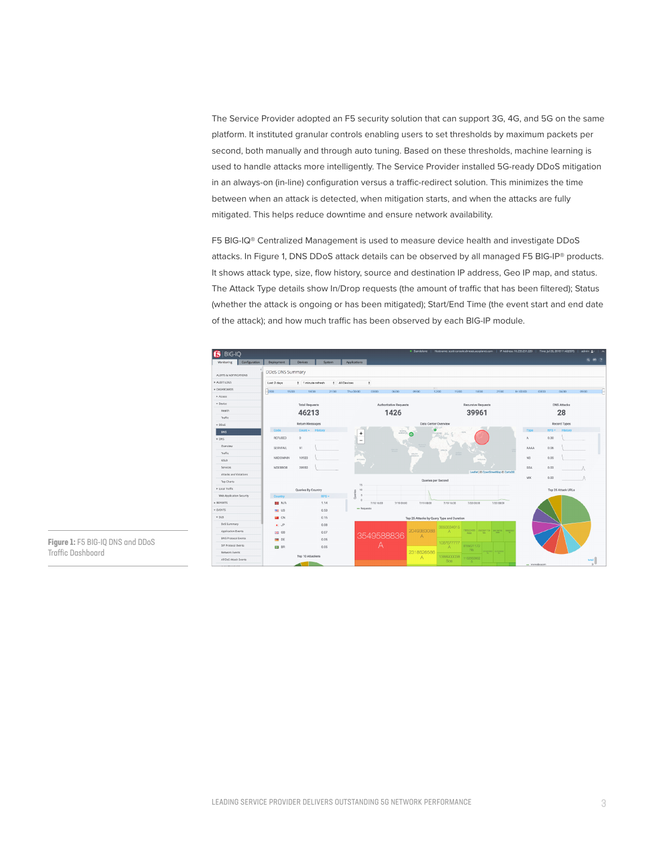The Service Provider adopted an F5 security solution that can support 3G, 4G, and 5G on the same platform. It instituted granular controls enabling users to set thresholds by maximum packets per second, both manually and through auto tuning. Based on these thresholds, machine learning is used to handle attacks more intelligently. The Service Provider installed 5G-ready DDoS mitigation in an always-on (in-line) configuration versus a traffic-redirect solution. This minimizes the time between when an attack is detected, when mitigation starts, and when the attacks are fully mitigated. This helps reduce downtime and ensure network availability.

F5 BIG-IQ® Centralized Management is used to measure device health and investigate DDoS attacks. In Figure 1, DNS DDoS attack details can be observed by all managed F5 BIG-IP® products. It shows attack type, size, flow history, source and destination IP address, Geo IP map, and status. The Attack Type details show In/Drop requests (the amount of traffic that has been filtered); Status (whether the attack is ongoing or has been mitigated); Start/End Time (the event start and end date of the attack); and how much traffic has been observed by each BIG-IP module.



**Figure 1:** F5 BIG-IQ DNS and DDoS Traffic Dashboard